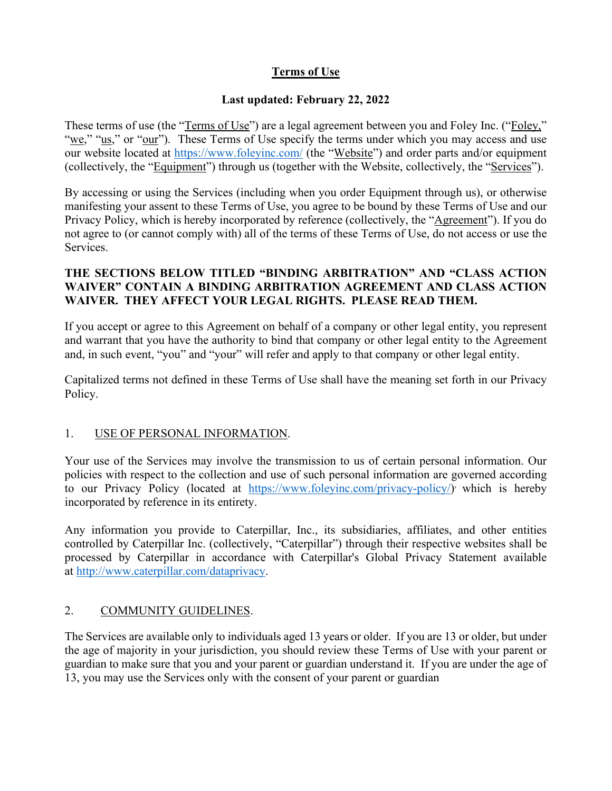### **Terms of Use**

#### **Last updated: February 22, 2022**

These terms of use (the "Terms of Use") are a legal agreement between you and Foley Inc. ("Foley," "we," "us," or "our"). These Terms of Use specify the terms under which you may access and use our website located at<https://www.foleyinc.com/> (the "Website") and order parts and/or equipment (collectively, the "Equipment") through us (together with the Website, collectively, the "Services").

By accessing or using the Services (including when you order Equipment through us), or otherwise manifesting your assent to these Terms of Use, you agree to be bound by these Terms of Use and our Privacy Policy, which is hereby incorporated by reference (collectively, the "Agreement"). If you do not agree to (or cannot comply with) all of the terms of these Terms of Use, do not access or use the Services.

#### **THE SECTIONS BELOW TITLED "BINDING ARBITRATION" AND "CLASS ACTION WAIVER" CONTAIN A BINDING ARBITRATION AGREEMENT AND CLASS ACTION WAIVER. THEY AFFECT YOUR LEGAL RIGHTS. PLEASE READ THEM.**

If you accept or agree to this Agreement on behalf of a company or other legal entity, you represent and warrant that you have the authority to bind that company or other legal entity to the Agreement and, in such event, "you" and "your" will refer and apply to that company or other legal entity.

Capitalized terms not defined in these Terms of Use shall have the meaning set forth in our Privacy Policy.

#### 1. USE OF PERSONAL INFORMATION.

Your use of the Services may involve the transmission to us of certain personal information. Our policies with respect to the collection and use of such personal information are governed according to our Privacy Policy (located at [https://www.foleyinc.com/privacy-policy/\)](https://www.foleyinc.com/privacy-policy/) which is hereby incorporated by reference in its entirety.

Any information you provide to Caterpillar, Inc., its subsidiaries, affiliates, and other entities controlled by Caterpillar Inc. (collectively, "Caterpillar") through their respective websites shall be processed by Caterpillar in accordance with Caterpillar's Global Privacy Statement available at [http://www.caterpillar.com/dataprivacy.](http://www.caterpillar.com/dataprivacy)

#### 2. COMMUNITY GUIDELINES.

The Services are available only to individuals aged 13 years or older. If you are 13 or older, but under the age of majority in your jurisdiction, you should review these Terms of Use with your parent or guardian to make sure that you and your parent or guardian understand it. If you are under the age of 13, you may use the Services only with the consent of your parent or guardian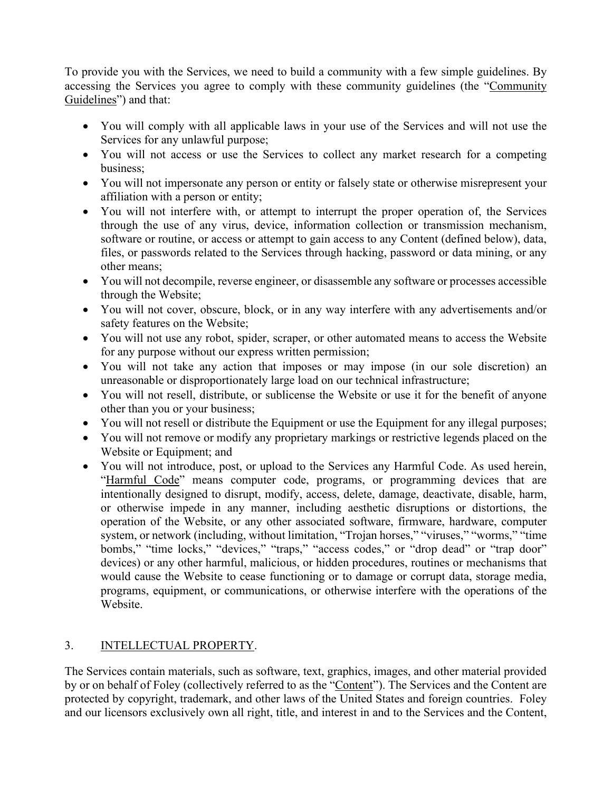To provide you with the Services, we need to build a community with a few simple guidelines. By accessing the Services you agree to comply with these community guidelines (the "Community Guidelines") and that:

- You will comply with all applicable laws in your use of the Services and will not use the Services for any unlawful purpose;
- You will not access or use the Services to collect any market research for a competing business;
- You will not impersonate any person or entity or falsely state or otherwise misrepresent your affiliation with a person or entity;
- You will not interfere with, or attempt to interrupt the proper operation of, the Services through the use of any virus, device, information collection or transmission mechanism, software or routine, or access or attempt to gain access to any Content (defined below), data, files, or passwords related to the Services through hacking, password or data mining, or any other means;
- You will not decompile, reverse engineer, or disassemble any software or processes accessible through the Website;
- You will not cover, obscure, block, or in any way interfere with any advertisements and/or safety features on the Website;
- You will not use any robot, spider, scraper, or other automated means to access the Website for any purpose without our express written permission;
- You will not take any action that imposes or may impose (in our sole discretion) an unreasonable or disproportionately large load on our technical infrastructure;
- You will not resell, distribute, or sublicense the Website or use it for the benefit of anyone other than you or your business;
- You will not resell or distribute the Equipment or use the Equipment for any illegal purposes;
- You will not remove or modify any proprietary markings or restrictive legends placed on the Website or Equipment; and
- You will not introduce, post, or upload to the Services any Harmful Code. As used herein, "Harmful Code" means computer code, programs, or programming devices that are intentionally designed to disrupt, modify, access, delete, damage, deactivate, disable, harm, or otherwise impede in any manner, including aesthetic disruptions or distortions, the operation of the Website, or any other associated software, firmware, hardware, computer system, or network (including, without limitation, "Trojan horses," "viruses," "worms," "time bombs," "time locks," "devices," "traps," "access codes," or "drop dead" or "trap door" devices) or any other harmful, malicious, or hidden procedures, routines or mechanisms that would cause the Website to cease functioning or to damage or corrupt data, storage media, programs, equipment, or communications, or otherwise interfere with the operations of the Website.

# 3. INTELLECTUAL PROPERTY.

The Services contain materials, such as software, text, graphics, images, and other material provided by or on behalf of Foley (collectively referred to as the "Content"). The Services and the Content are protected by copyright, trademark, and other laws of the United States and foreign countries. Foley and our licensors exclusively own all right, title, and interest in and to the Services and the Content,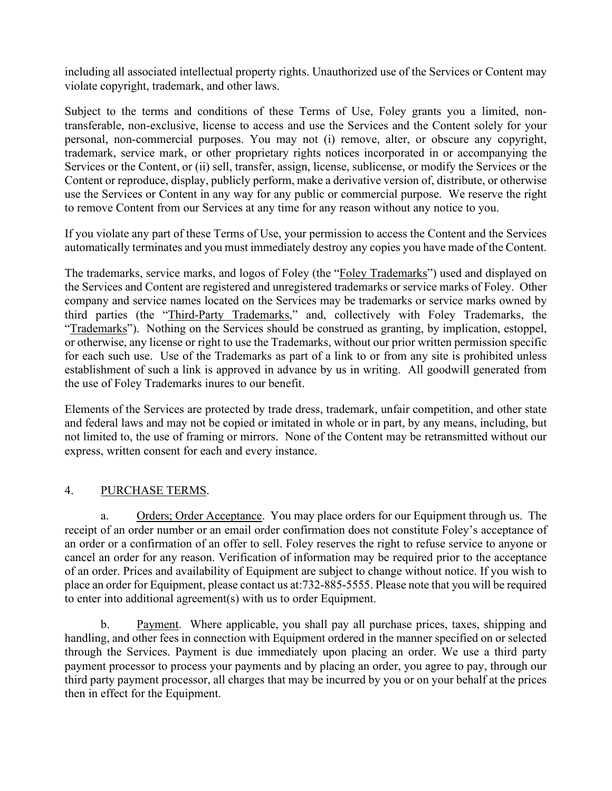including all associated intellectual property rights. Unauthorized use of the Services or Content may violate copyright, trademark, and other laws.

Subject to the terms and conditions of these Terms of Use, Foley grants you a limited, nontransferable, non-exclusive, license to access and use the Services and the Content solely for your personal, non-commercial purposes. You may not (i) remove, alter, or obscure any copyright, trademark, service mark, or other proprietary rights notices incorporated in or accompanying the Services or the Content, or (ii) sell, transfer, assign, license, sublicense, or modify the Services or the Content or reproduce, display, publicly perform, make a derivative version of, distribute, or otherwise use the Services or Content in any way for any public or commercial purpose. We reserve the right to remove Content from our Services at any time for any reason without any notice to you.

If you violate any part of these Terms of Use, your permission to access the Content and the Services automatically terminates and you must immediately destroy any copies you have made of the Content.

The trademarks, service marks, and logos of Foley (the "Foley Trademarks") used and displayed on the Services and Content are registered and unregistered trademarks or service marks of Foley. Other company and service names located on the Services may be trademarks or service marks owned by third parties (the "Third-Party Trademarks," and, collectively with Foley Trademarks, the "Trademarks"). Nothing on the Services should be construed as granting, by implication, estoppel, or otherwise, any license or right to use the Trademarks, without our prior written permission specific for each such use. Use of the Trademarks as part of a link to or from any site is prohibited unless establishment of such a link is approved in advance by us in writing. All goodwill generated from the use of Foley Trademarks inures to our benefit.

Elements of the Services are protected by trade dress, trademark, unfair competition, and other state and federal laws and may not be copied or imitated in whole or in part, by any means, including, but not limited to, the use of framing or mirrors. None of the Content may be retransmitted without our express, written consent for each and every instance.

#### 4. PURCHASE TERMS.

a. Orders; Order Acceptance. You may place orders for our Equipment through us. The receipt of an order number or an email order confirmation does not constitute Foley's acceptance of an order or a confirmation of an offer to sell. Foley reserves the right to refuse service to anyone or cancel an order for any reason. Verification of information may be required prior to the acceptance of an order. Prices and availability of Equipment are subject to change without notice. If you wish to place an order for Equipment, please contact us at:732-885-5555. Please note that you will be required to enter into additional agreement(s) with us to order Equipment.

b. Payment. Where applicable, you shall pay all purchase prices, taxes, shipping and handling, and other fees in connection with Equipment ordered in the manner specified on or selected through the Services. Payment is due immediately upon placing an order. We use a third party payment processor to process your payments and by placing an order, you agree to pay, through our third party payment processor, all charges that may be incurred by you or on your behalf at the prices then in effect for the Equipment.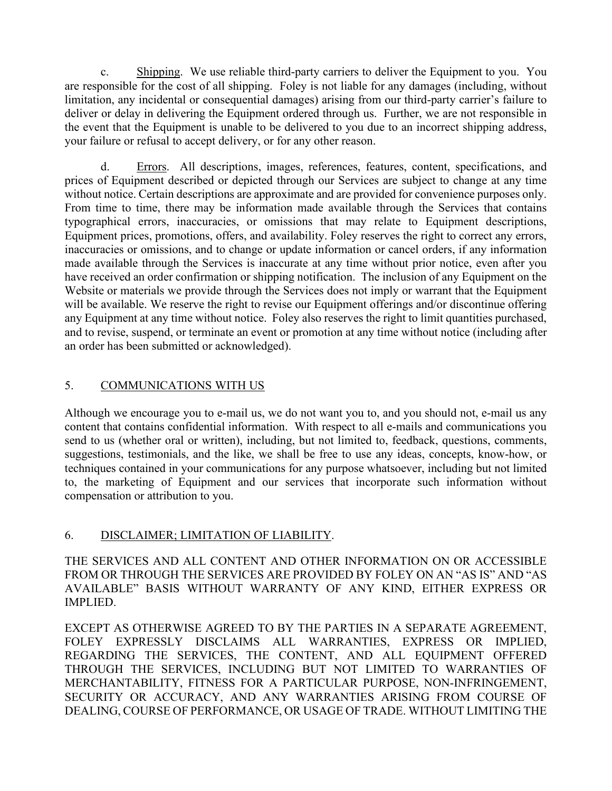c. Shipping. We use reliable third-party carriers to deliver the Equipment to you. You are responsible for the cost of all shipping. Foley is not liable for any damages (including, without limitation, any incidental or consequential damages) arising from our third-party carrier's failure to deliver or delay in delivering the Equipment ordered through us. Further, we are not responsible in the event that the Equipment is unable to be delivered to you due to an incorrect shipping address, your failure or refusal to accept delivery, or for any other reason.

d. Errors. All descriptions, images, references, features, content, specifications, and prices of Equipment described or depicted through our Services are subject to change at any time without notice. Certain descriptions are approximate and are provided for convenience purposes only. From time to time, there may be information made available through the Services that contains typographical errors, inaccuracies, or omissions that may relate to Equipment descriptions, Equipment prices, promotions, offers, and availability. Foley reserves the right to correct any errors, inaccuracies or omissions, and to change or update information or cancel orders, if any information made available through the Services is inaccurate at any time without prior notice, even after you have received an order confirmation or shipping notification. The inclusion of any Equipment on the Website or materials we provide through the Services does not imply or warrant that the Equipment will be available. We reserve the right to revise our Equipment offerings and/or discontinue offering any Equipment at any time without notice. Foley also reserves the right to limit quantities purchased, and to revise, suspend, or terminate an event or promotion at any time without notice (including after an order has been submitted or acknowledged).

### 5. COMMUNICATIONS WITH US

Although we encourage you to e-mail us, we do not want you to, and you should not, e-mail us any content that contains confidential information. With respect to all e-mails and communications you send to us (whether oral or written), including, but not limited to, feedback, questions, comments, suggestions, testimonials, and the like, we shall be free to use any ideas, concepts, know-how, or techniques contained in your communications for any purpose whatsoever, including but not limited to, the marketing of Equipment and our services that incorporate such information without compensation or attribution to you.

#### 6. DISCLAIMER; LIMITATION OF LIABILITY.

THE SERVICES AND ALL CONTENT AND OTHER INFORMATION ON OR ACCESSIBLE FROM OR THROUGH THE SERVICES ARE PROVIDED BY FOLEY ON AN "AS IS" AND "AS AVAILABLE" BASIS WITHOUT WARRANTY OF ANY KIND, EITHER EXPRESS OR IMPLIED.

EXCEPT AS OTHERWISE AGREED TO BY THE PARTIES IN A SEPARATE AGREEMENT, FOLEY EXPRESSLY DISCLAIMS ALL WARRANTIES, EXPRESS OR IMPLIED, REGARDING THE SERVICES, THE CONTENT, AND ALL EQUIPMENT OFFERED THROUGH THE SERVICES, INCLUDING BUT NOT LIMITED TO WARRANTIES OF MERCHANTABILITY, FITNESS FOR A PARTICULAR PURPOSE, NON-INFRINGEMENT, SECURITY OR ACCURACY, AND ANY WARRANTIES ARISING FROM COURSE OF DEALING, COURSE OF PERFORMANCE, OR USAGE OF TRADE. WITHOUT LIMITING THE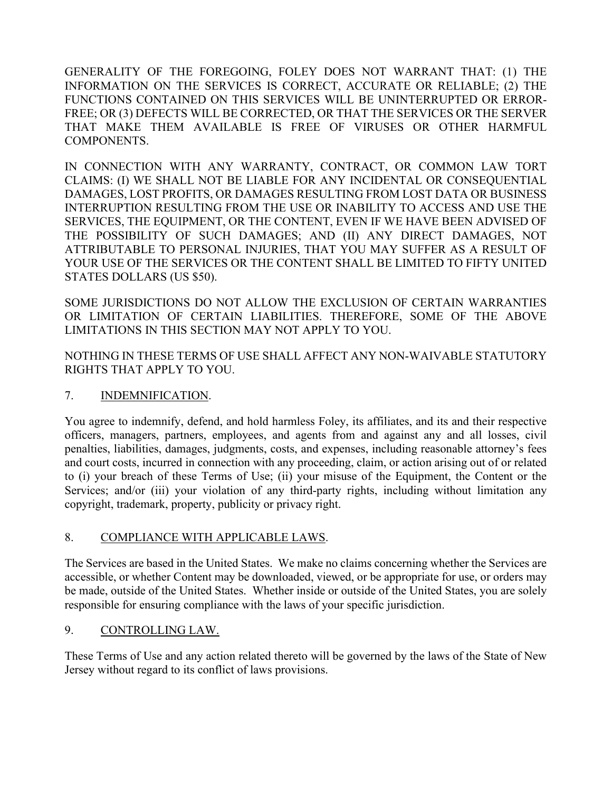GENERALITY OF THE FOREGOING, FOLEY DOES NOT WARRANT THAT: (1) THE INFORMATION ON THE SERVICES IS CORRECT, ACCURATE OR RELIABLE; (2) THE FUNCTIONS CONTAINED ON THIS SERVICES WILL BE UNINTERRUPTED OR ERROR-FREE; OR (3) DEFECTS WILL BE CORRECTED, OR THAT THE SERVICES OR THE SERVER THAT MAKE THEM AVAILABLE IS FREE OF VIRUSES OR OTHER HARMFUL COMPONENTS.

IN CONNECTION WITH ANY WARRANTY, CONTRACT, OR COMMON LAW TORT CLAIMS: (I) WE SHALL NOT BE LIABLE FOR ANY INCIDENTAL OR CONSEQUENTIAL DAMAGES, LOST PROFITS, OR DAMAGES RESULTING FROM LOST DATA OR BUSINESS INTERRUPTION RESULTING FROM THE USE OR INABILITY TO ACCESS AND USE THE SERVICES, THE EQUIPMENT, OR THE CONTENT, EVEN IF WE HAVE BEEN ADVISED OF THE POSSIBILITY OF SUCH DAMAGES; AND (II) ANY DIRECT DAMAGES, NOT ATTRIBUTABLE TO PERSONAL INJURIES, THAT YOU MAY SUFFER AS A RESULT OF YOUR USE OF THE SERVICES OR THE CONTENT SHALL BE LIMITED TO FIFTY UNITED STATES DOLLARS (US \$50).

SOME JURISDICTIONS DO NOT ALLOW THE EXCLUSION OF CERTAIN WARRANTIES OR LIMITATION OF CERTAIN LIABILITIES. THEREFORE, SOME OF THE ABOVE LIMITATIONS IN THIS SECTION MAY NOT APPLY TO YOU.

NOTHING IN THESE TERMS OF USE SHALL AFFECT ANY NON-WAIVABLE STATUTORY RIGHTS THAT APPLY TO YOU.

#### 7. INDEMNIFICATION.

You agree to indemnify, defend, and hold harmless Foley, its affiliates, and its and their respective officers, managers, partners, employees, and agents from and against any and all losses, civil penalties, liabilities, damages, judgments, costs, and expenses, including reasonable attorney's fees and court costs, incurred in connection with any proceeding, claim, or action arising out of or related to (i) your breach of these Terms of Use; (ii) your misuse of the Equipment, the Content or the Services; and/or (iii) your violation of any third-party rights, including without limitation any copyright, trademark, property, publicity or privacy right.

#### 8. COMPLIANCE WITH APPLICABLE LAWS.

The Services are based in the United States. We make no claims concerning whether the Services are accessible, or whether Content may be downloaded, viewed, or be appropriate for use, or orders may be made, outside of the United States. Whether inside or outside of the United States, you are solely responsible for ensuring compliance with the laws of your specific jurisdiction.

#### 9. CONTROLLING LAW.

These Terms of Use and any action related thereto will be governed by the laws of the State of New Jersey without regard to its conflict of laws provisions.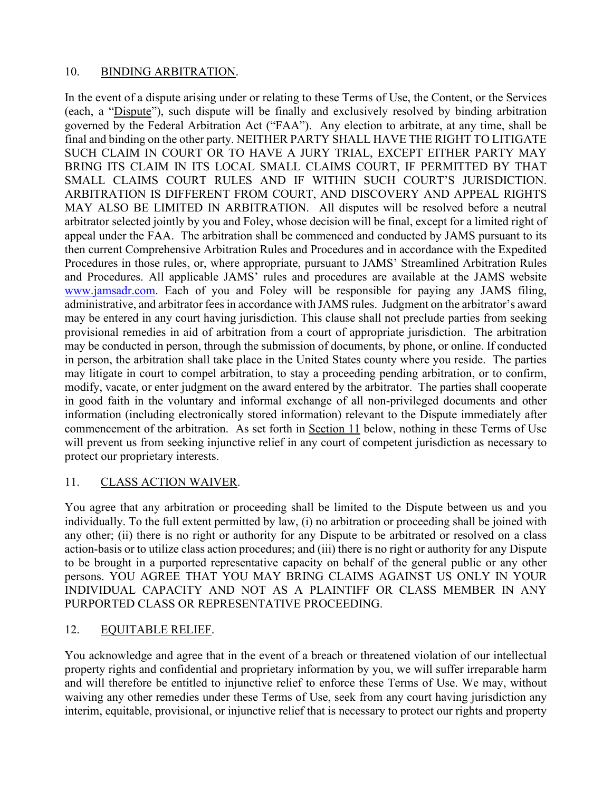#### 10. BINDING ARBITRATION.

In the event of a dispute arising under or relating to these Terms of Use, the Content, or the Services (each, a "Dispute"), such dispute will be finally and exclusively resolved by binding arbitration governed by the Federal Arbitration Act ("FAA"). Any election to arbitrate, at any time, shall be final and binding on the other party. NEITHER PARTY SHALL HAVE THE RIGHT TO LITIGATE SUCH CLAIM IN COURT OR TO HAVE A JURY TRIAL, EXCEPT EITHER PARTY MAY BRING ITS CLAIM IN ITS LOCAL SMALL CLAIMS COURT, IF PERMITTED BY THAT SMALL CLAIMS COURT RULES AND IF WITHIN SUCH COURT'S JURISDICTION. ARBITRATION IS DIFFERENT FROM COURT, AND DISCOVERY AND APPEAL RIGHTS MAY ALSO BE LIMITED IN ARBITRATION. All disputes will be resolved before a neutral arbitrator selected jointly by you and Foley, whose decision will be final, except for a limited right of appeal under the FAA. The arbitration shall be commenced and conducted by JAMS pursuant to its then current Comprehensive Arbitration Rules and Procedures and in accordance with the Expedited Procedures in those rules, or, where appropriate, pursuant to JAMS' Streamlined Arbitration Rules and Procedures. All applicable JAMS' rules and procedures are available at the JAMS website [www.jamsadr.com.](http://www.jamsadr.com/) Each of you and Foley will be responsible for paying any JAMS filing, administrative, and arbitrator fees in accordance with JAMS rules. Judgment on the arbitrator's award may be entered in any court having jurisdiction. This clause shall not preclude parties from seeking provisional remedies in aid of arbitration from a court of appropriate jurisdiction. The arbitration may be conducted in person, through the submission of documents, by phone, or online. If conducted in person, the arbitration shall take place in the United States county where you reside. The parties may litigate in court to compel arbitration, to stay a proceeding pending arbitration, or to confirm, modify, vacate, or enter judgment on the award entered by the arbitrator. The parties shall cooperate in good faith in the voluntary and informal exchange of all non-privileged documents and other information (including electronically stored information) relevant to the Dispute immediately after commencement of the arbitration. As set forth in Section 11 below, nothing in these Terms of Use will prevent us from seeking injunctive relief in any court of competent jurisdiction as necessary to protect our proprietary interests.

### 11. CLASS ACTION WAIVER.

You agree that any arbitration or proceeding shall be limited to the Dispute between us and you individually. To the full extent permitted by law, (i) no arbitration or proceeding shall be joined with any other; (ii) there is no right or authority for any Dispute to be arbitrated or resolved on a class action-basis or to utilize class action procedures; and (iii) there is no right or authority for any Dispute to be brought in a purported representative capacity on behalf of the general public or any other persons. YOU AGREE THAT YOU MAY BRING CLAIMS AGAINST US ONLY IN YOUR INDIVIDUAL CAPACITY AND NOT AS A PLAINTIFF OR CLASS MEMBER IN ANY PURPORTED CLASS OR REPRESENTATIVE PROCEEDING.

#### 12. EQUITABLE RELIEF.

You acknowledge and agree that in the event of a breach or threatened violation of our intellectual property rights and confidential and proprietary information by you, we will suffer irreparable harm and will therefore be entitled to injunctive relief to enforce these Terms of Use. We may, without waiving any other remedies under these Terms of Use, seek from any court having jurisdiction any interim, equitable, provisional, or injunctive relief that is necessary to protect our rights and property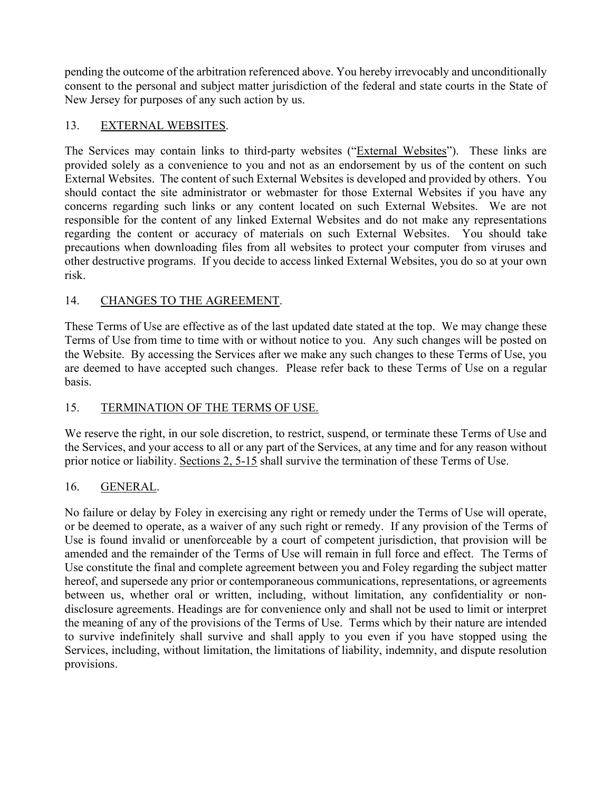pending the outcome of the arbitration referenced above. You hereby irrevocably and unconditionally consent to the personal and subject matter jurisdiction of the federal and state courts in the State of New Jersey for purposes of any such action by us.

## 13. EXTERNAL WEBSITES.

The Services may contain links to third-party websites ("External Websites"). These links are provided solely as a convenience to you and not as an endorsement by us of the content on such External Websites. The content of such External Websites is developed and provided by others. You should contact the site administrator or webmaster for those External Websites if you have any concerns regarding such links or any content located on such External Websites. We are not responsible for the content of any linked External Websites and do not make any representations regarding the content or accuracy of materials on such External Websites. You should take precautions when downloading files from all websites to protect your computer from viruses and other destructive programs. If you decide to access linked External Websites, you do so at your own risk.

### 14. CHANGES TO THE AGREEMENT.

These Terms of Use are effective as of the last updated date stated at the top. We may change these Terms of Use from time to time with or without notice to you. Any such changes will be posted on the Website. By accessing the Services after we make any such changes to these Terms of Use, you are deemed to have accepted such changes. Please refer back to these Terms of Use on a regular basis.

### 15. TERMINATION OF THE TERMS OF USE.

We reserve the right, in our sole discretion, to restrict, suspend, or terminate these Terms of Use and the Services, and your access to all or any part of the Services, at any time and for any reason without prior notice or liability. Sections 2, 5-15 shall survive the termination of these Terms of Use.

### 16. GENERAL.

No failure or delay by Foley in exercising any right or remedy under the Terms of Use will operate, or be deemed to operate, as a waiver of any such right or remedy. If any provision of the Terms of Use is found invalid or unenforceable by a court of competent jurisdiction, that provision will be amended and the remainder of the Terms of Use will remain in full force and effect. The Terms of Use constitute the final and complete agreement between you and Foley regarding the subject matter hereof, and supersede any prior or contemporaneous communications, representations, or agreements between us, whether oral or written, including, without limitation, any confidentiality or nondisclosure agreements. Headings are for convenience only and shall not be used to limit or interpret the meaning of any of the provisions of the Terms of Use. Terms which by their nature are intended to survive indefinitely shall survive and shall apply to you even if you have stopped using the Services, including, without limitation, the limitations of liability, indemnity, and dispute resolution provisions.